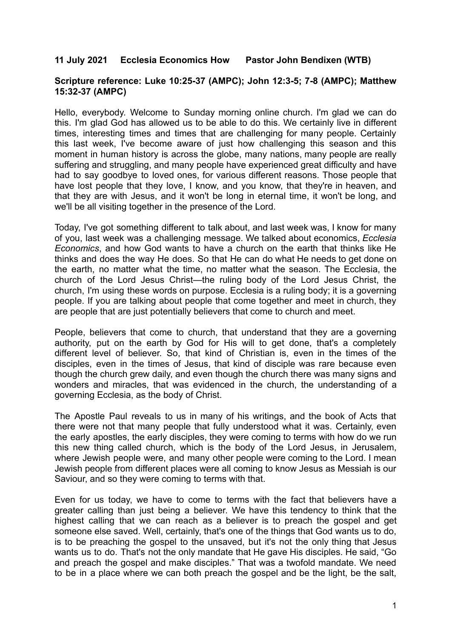## **11 July 2021 Ecclesia Economics How Pastor John Bendixen (WTB)**

## **Scripture reference: Luke 10:25-37 (AMPC); John 12:3-5; 7-8 (AMPC); Matthew 15:32-37 (AMPC)**

Hello, everybody. Welcome to Sunday morning online church. I'm glad we can do this. I'm glad God has allowed us to be able to do this. We certainly live in different times, interesting times and times that are challenging for many people. Certainly this last week, I've become aware of just how challenging this season and this moment in human history is across the globe, many nations, many people are really suffering and struggling, and many people have experienced great difficulty and have had to say goodbye to loved ones, for various different reasons. Those people that have lost people that they love, I know, and you know, that they're in heaven, and that they are with Jesus, and it won't be long in eternal time, it won't be long, and we'll be all visiting together in the presence of the Lord.

Today, I've got something different to talk about, and last week was, I know for many of you, last week was a challenging message. We talked about economics, *Ecclesia Economics*, and how God wants to have a church on the earth that thinks like He thinks and does the way He does. So that He can do what He needs to get done on the earth, no matter what the time, no matter what the season. The Ecclesia, the church of the Lord Jesus Christ—the ruling body of the Lord Jesus Christ, the church, I'm using these words on purpose. Ecclesia is a ruling body; it is a governing people. If you are talking about people that come together and meet in church, they are people that are just potentially believers that come to church and meet.

People, believers that come to church, that understand that they are a governing authority, put on the earth by God for His will to get done, that's a completely different level of believer. So, that kind of Christian is, even in the times of the disciples, even in the times of Jesus, that kind of disciple was rare because even though the church grew daily, and even though the church there was many signs and wonders and miracles, that was evidenced in the church, the understanding of a governing Ecclesia, as the body of Christ.

The Apostle Paul reveals to us in many of his writings, and the book of Acts that there were not that many people that fully understood what it was. Certainly, even the early apostles, the early disciples, they were coming to terms with how do we run this new thing called church, which is the body of the Lord Jesus, in Jerusalem, where Jewish people were, and many other people were coming to the Lord. I mean Jewish people from different places were all coming to know Jesus as Messiah is our Saviour, and so they were coming to terms with that.

Even for us today, we have to come to terms with the fact that believers have a greater calling than just being a believer. We have this tendency to think that the highest calling that we can reach as a believer is to preach the gospel and get someone else saved. Well, certainly, that's one of the things that God wants us to do, is to be preaching the gospel to the unsaved, but it's not the only thing that Jesus wants us to do. That's not the only mandate that He gave His disciples. He said, "Go and preach the gospel and make disciples." That was a twofold mandate. We need to be in a place where we can both preach the gospel and be the light, be the salt,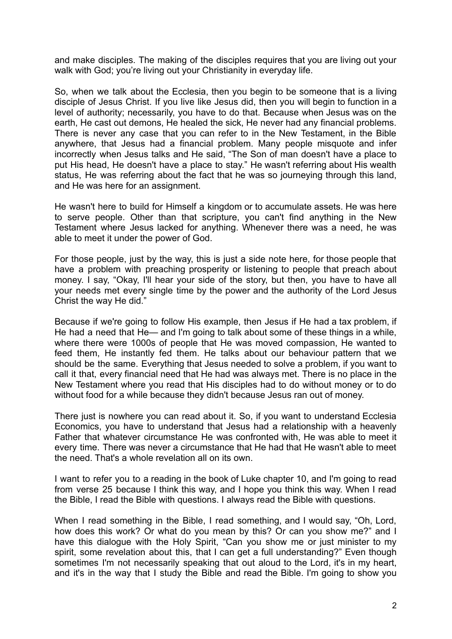and make disciples. The making of the disciples requires that you are living out your walk with God; you're living out your Christianity in everyday life.

So, when we talk about the Ecclesia, then you begin to be someone that is a living disciple of Jesus Christ. If you live like Jesus did, then you will begin to function in a level of authority; necessarily, you have to do that. Because when Jesus was on the earth, He cast out demons, He healed the sick, He never had any financial problems. There is never any case that you can refer to in the New Testament, in the Bible anywhere, that Jesus had a financial problem. Many people misquote and infer incorrectly when Jesus talks and He said, "The Son of man doesn't have a place to put His head, He doesn't have a place to stay." He wasn't referring about His wealth status, He was referring about the fact that he was so journeying through this land, and He was here for an assignment.

He wasn't here to build for Himself a kingdom or to accumulate assets. He was here to serve people. Other than that scripture, you can't find anything in the New Testament where Jesus lacked for anything. Whenever there was a need, he was able to meet it under the power of God.

For those people, just by the way, this is just a side note here, for those people that have a problem with preaching prosperity or listening to people that preach about money. I say, "Okay, I'll hear your side of the story, but then, you have to have all your needs met every single time by the power and the authority of the Lord Jesus Christ the way He did."

Because if we're going to follow His example, then Jesus if He had a tax problem, if He had a need that He— and I'm going to talk about some of these things in a while, where there were 1000s of people that He was moved compassion, He wanted to feed them, He instantly fed them. He talks about our behaviour pattern that we should be the same. Everything that Jesus needed to solve a problem, if you want to call it that, every financial need that He had was always met. There is no place in the New Testament where you read that His disciples had to do without money or to do without food for a while because they didn't because Jesus ran out of money.

There just is nowhere you can read about it. So, if you want to understand Ecclesia Economics, you have to understand that Jesus had a relationship with a heavenly Father that whatever circumstance He was confronted with, He was able to meet it every time. There was never a circumstance that He had that He wasn't able to meet the need. That's a whole revelation all on its own.

I want to refer you to a reading in the book of Luke chapter 10, and I'm going to read from verse 25 because I think this way, and I hope you think this way. When I read the Bible, I read the Bible with questions. I always read the Bible with questions.

When I read something in the Bible, I read something, and I would say, "Oh, Lord, how does this work? Or what do you mean by this? Or can you show me?" and I have this dialogue with the Holy Spirit, "Can you show me or just minister to my spirit, some revelation about this, that I can get a full understanding?" Even though sometimes I'm not necessarily speaking that out aloud to the Lord, it's in my heart, and it's in the way that I study the Bible and read the Bible. I'm going to show you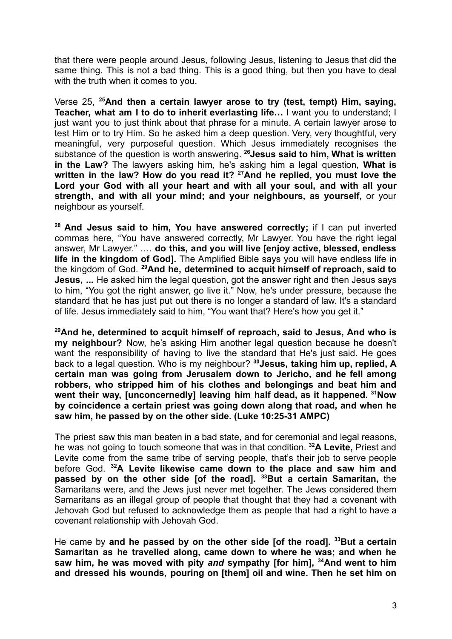that there were people around Jesus, following Jesus, listening to Jesus that did the same thing. This is not a bad thing. This is a good thing, but then you have to deal with the truth when it comes to you.

Verse 25, **<sup>25</sup>And then a certain lawyer arose to try (test, tempt) Him, saying, Teacher, what am I to do to inherit everlasting life…** I want you to understand; I just want you to just think about that phrase for a minute. A certain lawyer arose to test Him or to try Him. So he asked him a deep question. Very, very thoughtful, very meaningful, very purposeful question. Which Jesus immediately recognises the substance of the question is worth answering. **<sup>26</sup>Jesus said to him, What is written in the Law?** The lawyers asking him, he's asking him a legal question, **What is written in the law? How do you read it? <sup>27</sup>And he replied, you must love the Lord your God with all your heart and with all your soul, and with all your strength, and with all your mind; and your neighbours, as yourself,** or your neighbour as yourself.

**<sup>28</sup> And Jesus said to him, You have answered correctly;** if I can put inverted commas here, "You have answered correctly, Mr Lawyer. You have the right legal answer, Mr Lawyer." …. **do this, and you will live [enjoy active, blessed, endless life in the kingdom of God].** The Amplified Bible says you will have endless life in the kingdom of God. **<sup>29</sup>And he, determined to acquit himself of reproach, said to Jesus, ...** He asked him the legal question, got the answer right and then Jesus says to him, "You got the right answer, go live it." Now, he's under pressure, because the standard that he has just put out there is no longer a standard of law. It's a standard of life. Jesus immediately said to him, "You want that? Here's how you get it."

**<sup>29</sup>And he, determined to acquit himself of reproach, said to Jesus, And who is my neighbour?** Now, he's asking Him another legal question because he doesn't want the responsibility of having to live the standard that He's just said. He goes back to a legal question. Who is my neighbour? **<sup>30</sup>Jesus, taking him up, replied, A certain man was going from Jerusalem down to Jericho, and he fell among robbers, who stripped him of his clothes and belongings and beat him and went their way, [unconcernedly] leaving him half dead, as it happened. <sup>31</sup>Now by coincidence a certain priest was going down along that road, and when he saw him, he passed by on the other side. (Luke 10:25-31 AMPC)**

The priest saw this man beaten in a bad state, and for ceremonial and legal reasons, he was not going to touch someone that was in that condition. **<sup>32</sup>A Levite,** Priest and Levite come from the same tribe of serving people, that's their job to serve people before God. **<sup>32</sup>A Levite likewise came down to the place and saw him and passed by on the other side [of the road]. <sup>33</sup>But a certain Samaritan,** the Samaritans were, and the Jews just never met together. The Jews considered them Samaritans as an illegal group of people that thought that they had a covenant with Jehovah God but refused to acknowledge them as people that had a right to have a covenant relationship with Jehovah God.

He came by **and he passed by on the other side [of the road]. <sup>33</sup>But a certain Samaritan as he travelled along, came down to where he was; and when he saw him, he was moved with pity** *and* **sympathy [for him], <sup>34</sup>And went to him and dressed his wounds, pouring on [them] oil and wine. Then he set him on**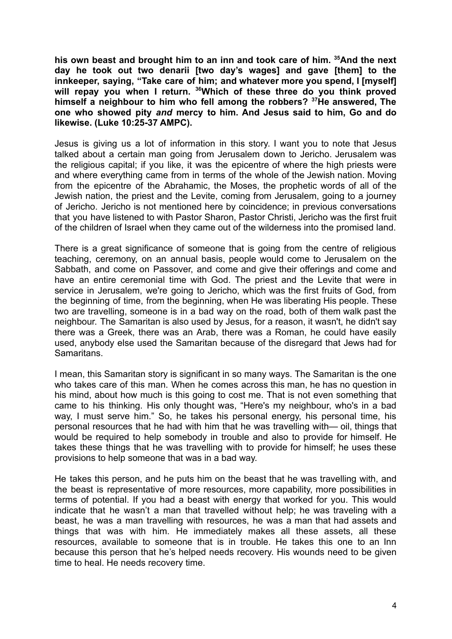**his own beast and brought him to an inn and took care of him. <sup>35</sup>And the next day he took out two denarii [two day's wages] and gave [them] to the innkeeper, saying, "Take care of him; and whatever more you spend, I [myself] will repay you when I return. <sup>36</sup>Which of these three do you think proved himself a neighbour to him who fell among the robbers? <sup>37</sup>He answered, The one who showed pity** *and* **mercy to him. And Jesus said to him, Go and do likewise. (Luke 10:25-37 AMPC).**

Jesus is giving us a lot of information in this story. I want you to note that Jesus talked about a certain man going from Jerusalem down to Jericho. Jerusalem was the religious capital; if you like, it was the epicentre of where the high priests were and where everything came from in terms of the whole of the Jewish nation. Moving from the epicentre of the Abrahamic, the Moses, the prophetic words of all of the Jewish nation, the priest and the Levite, coming from Jerusalem, going to a journey of Jericho. Jericho is not mentioned here by coincidence; in previous conversations that you have listened to with Pastor Sharon, Pastor Christi, Jericho was the first fruit of the children of Israel when they came out of the wilderness into the promised land.

There is a great significance of someone that is going from the centre of religious teaching, ceremony, on an annual basis, people would come to Jerusalem on the Sabbath, and come on Passover, and come and give their offerings and come and have an entire ceremonial time with God. The priest and the Levite that were in service in Jerusalem, we're going to Jericho, which was the first fruits of God, from the beginning of time, from the beginning, when He was liberating His people. These two are travelling, someone is in a bad way on the road, both of them walk past the neighbour. The Samaritan is also used by Jesus, for a reason, it wasn't, he didn't say there was a Greek, there was an Arab, there was a Roman, he could have easily used, anybody else used the Samaritan because of the disregard that Jews had for Samaritans.

I mean, this Samaritan story is significant in so many ways. The Samaritan is the one who takes care of this man. When he comes across this man, he has no question in his mind, about how much is this going to cost me. That is not even something that came to his thinking. His only thought was, "Here's my neighbour, who's in a bad way, I must serve him." So, he takes his personal energy, his personal time, his personal resources that he had with him that he was travelling with— oil, things that would be required to help somebody in trouble and also to provide for himself. He takes these things that he was travelling with to provide for himself; he uses these provisions to help someone that was in a bad way.

He takes this person, and he puts him on the beast that he was travelling with, and the beast is representative of more resources, more capability, more possibilities in terms of potential. If you had a beast with energy that worked for you. This would indicate that he wasn't a man that travelled without help; he was traveling with a beast, he was a man travelling with resources, he was a man that had assets and things that was with him. He immediately makes all these assets, all these resources, available to someone that is in trouble. He takes this one to an Inn because this person that he's helped needs recovery. His wounds need to be given time to heal. He needs recovery time.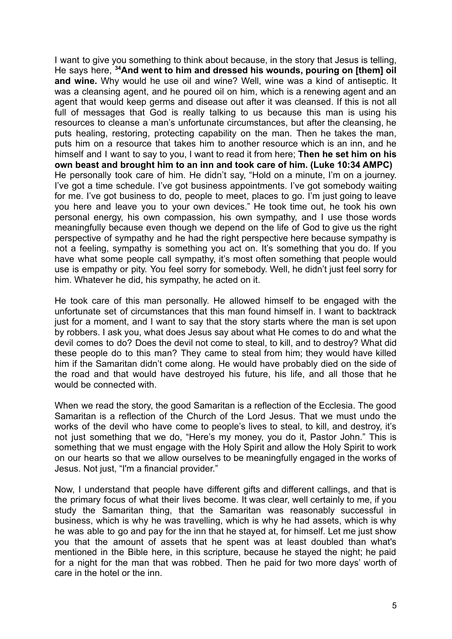I want to give you something to think about because, in the story that Jesus is telling, He says here, **<sup>34</sup>And went to him and dressed his wounds, pouring on [them] oil and wine.** Why would he use oil and wine? Well, wine was a kind of antiseptic. It was a cleansing agent, and he poured oil on him, which is a renewing agent and an agent that would keep germs and disease out after it was cleansed. If this is not all full of messages that God is really talking to us because this man is using his resources to cleanse a man's unfortunate circumstances, but after the cleansing, he puts healing, restoring, protecting capability on the man. Then he takes the man, puts him on a resource that takes him to another resource which is an inn, and he himself and I want to say to you, I want to read it from here; **Then he set him on his own beast and brought him to an inn and took care of him. (Luke 10:34 AMPC)** He personally took care of him. He didn't say, "Hold on a minute, I'm on a journey. I've got a time schedule. I've got business appointments. I've got somebody waiting for me. I've got business to do, people to meet, places to go. I'm just going to leave you here and leave you to your own devices." He took time out, he took his own personal energy, his own compassion, his own sympathy, and I use those words meaningfully because even though we depend on the life of God to give us the right perspective of sympathy and he had the right perspective here because sympathy is not a feeling, sympathy is something you act on. It's something that you do. If you have what some people call sympathy, it's most often something that people would use is empathy or pity. You feel sorry for somebody. Well, he didn't just feel sorry for him. Whatever he did, his sympathy, he acted on it.

He took care of this man personally. He allowed himself to be engaged with the unfortunate set of circumstances that this man found himself in. I want to backtrack just for a moment, and I want to say that the story starts where the man is set upon by robbers. I ask you, what does Jesus say about what He comes to do and what the devil comes to do? Does the devil not come to steal, to kill, and to destroy? What did these people do to this man? They came to steal from him; they would have killed him if the Samaritan didn't come along. He would have probably died on the side of the road and that would have destroyed his future, his life, and all those that he would be connected with.

When we read the story, the good Samaritan is a reflection of the Ecclesia. The good Samaritan is a reflection of the Church of the Lord Jesus. That we must undo the works of the devil who have come to people's lives to steal, to kill, and destroy, it's not just something that we do, "Here's my money, you do it, Pastor John." This is something that we must engage with the Holy Spirit and allow the Holy Spirit to work on our hearts so that we allow ourselves to be meaningfully engaged in the works of Jesus. Not just, "I'm a financial provider."

Now, I understand that people have different gifts and different callings, and that is the primary focus of what their lives become. It was clear, well certainly to me, if you study the Samaritan thing, that the Samaritan was reasonably successful in business, which is why he was travelling, which is why he had assets, which is why he was able to go and pay for the inn that he stayed at, for himself. Let me just show you that the amount of assets that he spent was at least doubled than what's mentioned in the Bible here, in this scripture, because he stayed the night; he paid for a night for the man that was robbed. Then he paid for two more days' worth of care in the hotel or the inn.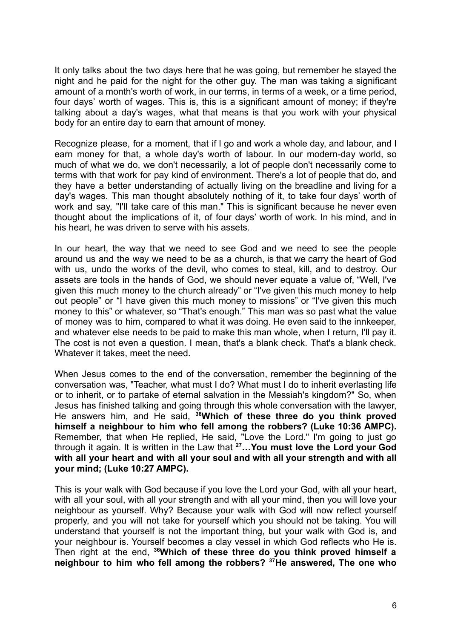It only talks about the two days here that he was going, but remember he stayed the night and he paid for the night for the other guy. The man was taking a significant amount of a month's worth of work, in our terms, in terms of a week, or a time period, four days' worth of wages. This is, this is a significant amount of money; if they're talking about a day's wages, what that means is that you work with your physical body for an entire day to earn that amount of money.

Recognize please, for a moment, that if I go and work a whole day, and labour, and I earn money for that, a whole day's worth of labour. In our modern-day world, so much of what we do, we don't necessarily, a lot of people don't necessarily come to terms with that work for pay kind of environment. There's a lot of people that do, and they have a better understanding of actually living on the breadline and living for a day's wages. This man thought absolutely nothing of it, to take four days' worth of work and say, "I'll take care of this man." This is significant because he never even thought about the implications of it, of four days' worth of work. In his mind, and in his heart, he was driven to serve with his assets.

In our heart, the way that we need to see God and we need to see the people around us and the way we need to be as a church, is that we carry the heart of God with us, undo the works of the devil, who comes to steal, kill, and to destroy. Our assets are tools in the hands of God, we should never equate a value of, "Well, I've given this much money to the church already" or "I've given this much money to help out people" or "I have given this much money to missions" or "I've given this much money to this" or whatever, so "That's enough." This man was so past what the value of money was to him, compared to what it was doing. He even said to the innkeeper, and whatever else needs to be paid to make this man whole, when I return, I'll pay it. The cost is not even a question. I mean, that's a blank check. That's a blank check. Whatever it takes, meet the need.

When Jesus comes to the end of the conversation, remember the beginning of the conversation was, "Teacher, what must I do? What must I do to inherit everlasting life or to inherit, or to partake of eternal salvation in the Messiah's kingdom?" So, when Jesus has finished talking and going through this whole conversation with the lawyer, He answers him, and He said, **<sup>36</sup>Which of these three do you think proved himself a neighbour to him who fell among the robbers? (Luke 10:36 AMPC).** Remember, that when He replied, He said, "Love the Lord." I'm going to just go through it again. It is written in the Law that **<sup>27</sup>…You must love the Lord your God with all your heart and with all your soul and with all your strength and with all your mind; (Luke 10:27 AMPC).**

This is your walk with God because if you love the Lord your God, with all your heart, with all your soul, with all your strength and with all your mind, then you will love your neighbour as yourself. Why? Because your walk with God will now reflect yourself properly, and you will not take for yourself which you should not be taking. You will understand that yourself is not the important thing, but your walk with God is, and your neighbour is. Yourself becomes a clay vessel in which God reflects who He is. Then right at the end, **<sup>36</sup>Which of these three do you think proved himself a neighbour to him who fell among the robbers? <sup>37</sup>He answered, The one who**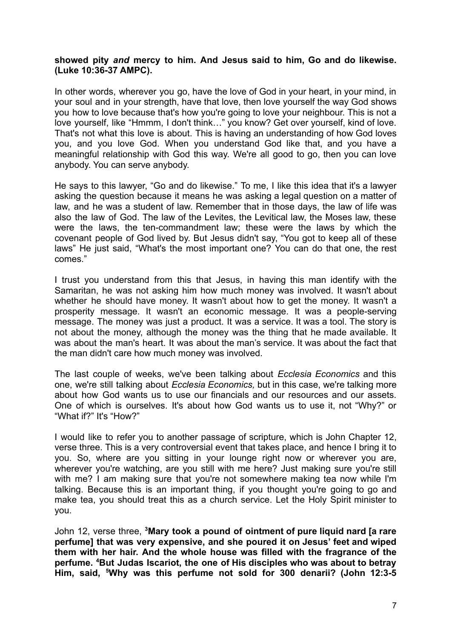## **showed pity** *and* **mercy to him. And Jesus said to him, Go and do likewise. (Luke 10:36-37 AMPC).**

In other words, wherever you go, have the love of God in your heart, in your mind, in your soul and in your strength, have that love, then love yourself the way God shows you how to love because that's how you're going to love your neighbour. This is not a love yourself, like "Hmmm, I don't think…" you know? Get over yourself, kind of love. That's not what this love is about. This is having an understanding of how God loves you, and you love God. When you understand God like that, and you have a meaningful relationship with God this way. We're all good to go, then you can love anybody. You can serve anybody.

He says to this lawyer, "Go and do likewise." To me, I like this idea that it's a lawyer asking the question because it means he was asking a legal question on a matter of law, and he was a student of law. Remember that in those days, the law of life was also the law of God. The law of the Levites, the Levitical law, the Moses law, these were the laws, the ten-commandment law; these were the laws by which the covenant people of God lived by. But Jesus didn't say, "You got to keep all of these laws" He just said, "What's the most important one? You can do that one, the rest comes."

I trust you understand from this that Jesus, in having this man identify with the Samaritan, he was not asking him how much money was involved. It wasn't about whether he should have money. It wasn't about how to get the money. It wasn't a prosperity message. It wasn't an economic message. It was a people-serving message. The money was just a product. It was a service. It was a tool. The story is not about the money, although the money was the thing that he made available. It was about the man's heart. It was about the man's service. It was about the fact that the man didn't care how much money was involved.

The last couple of weeks, we've been talking about *Ecclesia Economics* and this one, we're still talking about *Ecclesia Economics,* but in this case, we're talking more about how God wants us to use our financials and our resources and our assets. One of which is ourselves. It's about how God wants us to use it, not "Why?" or "What if?" It's "How?"

I would like to refer you to another passage of scripture, which is John Chapter 12, verse three. This is a very controversial event that takes place, and hence I bring it to you. So, where are you sitting in your lounge right now or wherever you are, wherever you're watching, are you still with me here? Just making sure you're still with me? I am making sure that you're not somewhere making tea now while I'm talking. Because this is an important thing, if you thought you're going to go and make tea, you should treat this as a church service. Let the Holy Spirit minister to you.

John 12, verse three, **<sup>3</sup>Mary took a pound of ointment of pure liquid nard [a rare perfume] that was very expensive, and she poured it on Jesus' feet and wiped them with her hair. And the whole house was filled with the fragrance of the perfume. <sup>4</sup>But Judas Iscariot, the one of His disciples who was about to betray Him, said, <sup>5</sup>Why was this perfume not sold for 300 denarii? (John 12:3-5**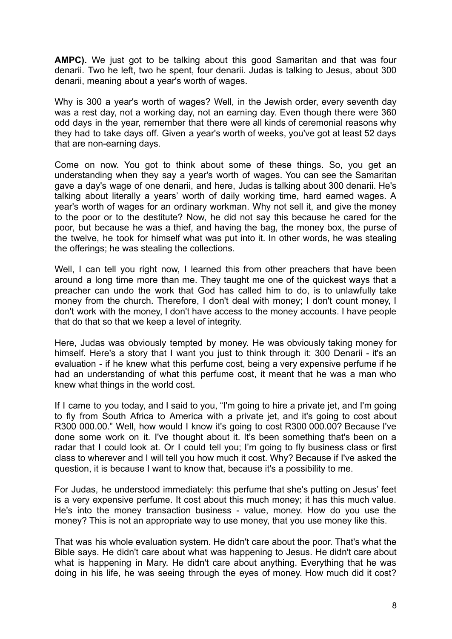**AMPC).** We just got to be talking about this good Samaritan and that was four denarii. Two he left, two he spent, four denarii. Judas is talking to Jesus, about 300 denarii, meaning about a year's worth of wages.

Why is 300 a year's worth of wages? Well, in the Jewish order, every seventh day was a rest day, not a working day, not an earning day. Even though there were 360 odd days in the year, remember that there were all kinds of ceremonial reasons why they had to take days off. Given a year's worth of weeks, you've got at least 52 days that are non-earning days.

Come on now. You got to think about some of these things. So, you get an understanding when they say a year's worth of wages. You can see the Samaritan gave a day's wage of one denarii, and here, Judas is talking about 300 denarii. He's talking about literally a years' worth of daily working time, hard earned wages. A year's worth of wages for an ordinary workman. Why not sell it, and give the money to the poor or to the destitute? Now, he did not say this because he cared for the poor, but because he was a thief, and having the bag, the money box, the purse of the twelve, he took for himself what was put into it. In other words, he was stealing the offerings; he was stealing the collections.

Well, I can tell you right now, I learned this from other preachers that have been around a long time more than me. They taught me one of the quickest ways that a preacher can undo the work that God has called him to do, is to unlawfully take money from the church. Therefore, I don't deal with money; I don't count money, I don't work with the money, I don't have access to the money accounts. I have people that do that so that we keep a level of integrity.

Here, Judas was obviously tempted by money. He was obviously taking money for himself. Here's a story that I want you just to think through it: 300 Denarii - it's an evaluation - if he knew what this perfume cost, being a very expensive perfume if he had an understanding of what this perfume cost, it meant that he was a man who knew what things in the world cost.

If I came to you today, and I said to you, "I'm going to hire a private jet, and I'm going to fly from South Africa to America with a private jet, and it's going to cost about R300 000.00." Well, how would I know it's going to cost R300 000.00? Because I've done some work on it. I've thought about it. It's been something that's been on a radar that I could look at. Or I could tell you; I'm going to fly business class or first class to wherever and I will tell you how much it cost. Why? Because if I've asked the question, it is because I want to know that, because it's a possibility to me.

For Judas, he understood immediately: this perfume that she's putting on Jesus' feet is a very expensive perfume. It cost about this much money; it has this much value. He's into the money transaction business - value, money. How do you use the money? This is not an appropriate way to use money, that you use money like this.

That was his whole evaluation system. He didn't care about the poor. That's what the Bible says. He didn't care about what was happening to Jesus. He didn't care about what is happening in Mary. He didn't care about anything. Everything that he was doing in his life, he was seeing through the eyes of money. How much did it cost?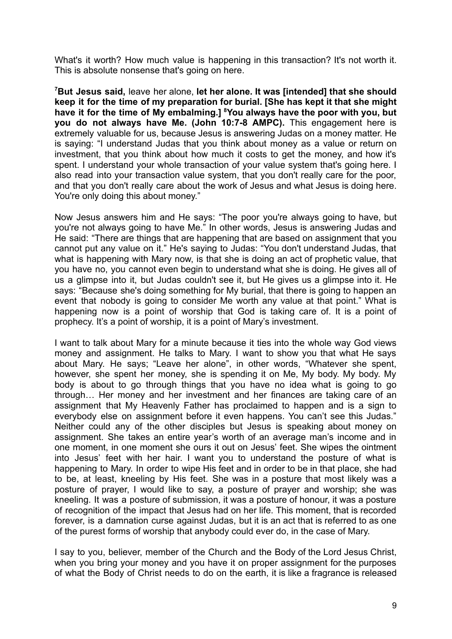What's it worth? How much value is happening in this transaction? It's not worth it. This is absolute nonsense that's going on here.

**<sup>7</sup>But Jesus said,** leave her alone, **let her alone. It was [intended] that she should keep it for the time of my preparation for burial. [She has kept it that she might have it for the time of My embalming.] <sup>8</sup>You always have the poor with you, but you do not always have Me. (John 10:7-8 AMPC).** This engagement here is extremely valuable for us, because Jesus is answering Judas on a money matter. He is saying: "I understand Judas that you think about money as a value or return on investment, that you think about how much it costs to get the money, and how it's spent. I understand your whole transaction of your value system that's going here. I also read into your transaction value system, that you don't really care for the poor, and that you don't really care about the work of Jesus and what Jesus is doing here. You're only doing this about monev."

Now Jesus answers him and He says: "The poor you're always going to have, but you're not always going to have Me." In other words, Jesus is answering Judas and He said: "There are things that are happening that are based on assignment that you cannot put any value on it." He's saying to Judas: "You don't understand Judas, that what is happening with Mary now, is that she is doing an act of prophetic value, that you have no, you cannot even begin to understand what she is doing. He gives all of us a glimpse into it, but Judas couldn't see it, but He gives us a glimpse into it. He says: "Because she's doing something for My burial, that there is going to happen an event that nobody is going to consider Me worth any value at that point." What is happening now is a point of worship that God is taking care of. It is a point of prophecy. It's a point of worship, it is a point of Mary's investment.

I want to talk about Mary for a minute because it ties into the whole way God views money and assignment. He talks to Mary. I want to show you that what He says about Mary. He says; "Leave her alone", in other words, "Whatever she spent, however, she spent her money, she is spending it on Me, My body. My body. My body is about to go through things that you have no idea what is going to go through… Her money and her investment and her finances are taking care of an assignment that My Heavenly Father has proclaimed to happen and is a sign to everybody else on assignment before it even happens. You can't see this Judas." Neither could any of the other disciples but Jesus is speaking about money on assignment. She takes an entire year's worth of an average man's income and in one moment, in one moment she ours it out on Jesus' feet. She wipes the ointment into Jesus' feet with her hair. I want you to understand the posture of what is happening to Mary. In order to wipe His feet and in order to be in that place, she had to be, at least, kneeling by His feet. She was in a posture that most likely was a posture of prayer, I would like to say, a posture of prayer and worship; she was kneeling. It was a posture of submission, it was a posture of honour, it was a posture of recognition of the impact that Jesus had on her life. This moment, that is recorded forever, is a damnation curse against Judas, but it is an act that is referred to as one of the purest forms of worship that anybody could ever do, in the case of Mary.

I say to you, believer, member of the Church and the Body of the Lord Jesus Christ, when you bring your money and you have it on proper assignment for the purposes of what the Body of Christ needs to do on the earth, it is like a fragrance is released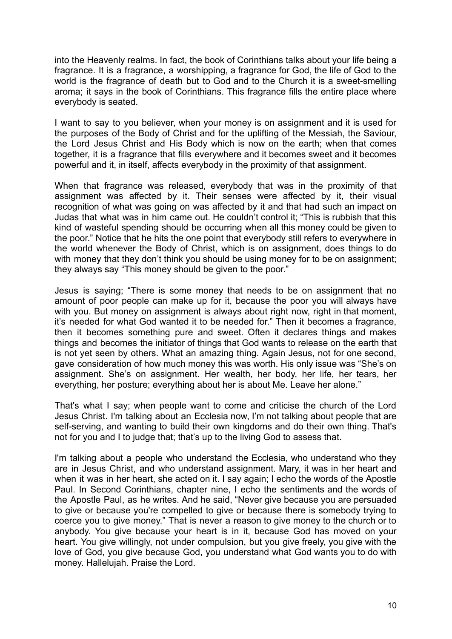into the Heavenly realms. In fact, the book of Corinthians talks about your life being a fragrance. It is a fragrance, a worshipping, a fragrance for God, the life of God to the world is the fragrance of death but to God and to the Church it is a sweet-smelling aroma; it says in the book of Corinthians. This fragrance fills the entire place where everybody is seated.

I want to say to you believer, when your money is on assignment and it is used for the purposes of the Body of Christ and for the uplifting of the Messiah, the Saviour, the Lord Jesus Christ and His Body which is now on the earth; when that comes together, it is a fragrance that fills everywhere and it becomes sweet and it becomes powerful and it, in itself, affects everybody in the proximity of that assignment.

When that fragrance was released, everybody that was in the proximity of that assignment was affected by it. Their senses were affected by it, their visual recognition of what was going on was affected by it and that had such an impact on Judas that what was in him came out. He couldn't control it; "This is rubbish that this kind of wasteful spending should be occurring when all this money could be given to the poor." Notice that he hits the one point that everybody still refers to everywhere in the world whenever the Body of Christ, which is on assignment, does things to do with money that they don't think you should be using money for to be on assignment; they always say "This money should be given to the poor."

Jesus is saying; "There is some money that needs to be on assignment that no amount of poor people can make up for it, because the poor you will always have with you. But money on assignment is always about right now, right in that moment, it's needed for what God wanted it to be needed for." Then it becomes a fragrance, then it becomes something pure and sweet. Often it declares things and makes things and becomes the initiator of things that God wants to release on the earth that is not yet seen by others. What an amazing thing. Again Jesus, not for one second, gave consideration of how much money this was worth. His only issue was "She's on assignment. She's on assignment. Her wealth, her body, her life, her tears, her everything, her posture; everything about her is about Me. Leave her alone."

That's what I say; when people want to come and criticise the church of the Lord Jesus Christ. I'm talking about an Ecclesia now, I'm not talking about people that are self-serving, and wanting to build their own kingdoms and do their own thing. That's not for you and I to judge that; that's up to the living God to assess that.

I'm talking about a people who understand the Ecclesia, who understand who they are in Jesus Christ, and who understand assignment. Mary, it was in her heart and when it was in her heart, she acted on it. I say again; I echo the words of the Apostle Paul. In Second Corinthians, chapter nine, I echo the sentiments and the words of the Apostle Paul, as he writes. And he said, "Never give because you are persuaded to give or because you're compelled to give or because there is somebody trying to coerce you to give money." That is never a reason to give money to the church or to anybody. You give because your heart is in it, because God has moved on your heart. You give willingly, not under compulsion, but you give freely, you give with the love of God, you give because God, you understand what God wants you to do with money. Hallelujah. Praise the Lord.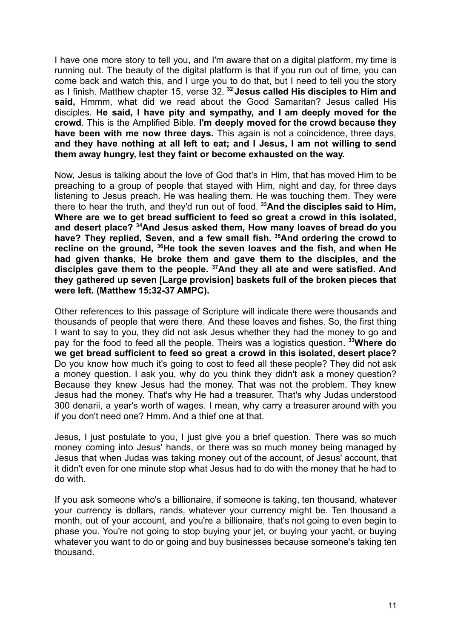I have one more story to tell you, and I'm aware that on a digital platform, my time is running out. The beauty of the digital platform is that if you run out of time, you can come back and watch this, and I urge you to do that, but I need to tell you the story as I finish. Matthew chapter 15, verse 32. **<sup>32</sup> Jesus called His disciples to Him and said,** Hmmm, what did we read about the Good Samaritan? Jesus called His disciples. **He said, I have pity and sympathy, and I am deeply moved for the crowd**. This is the Amplified Bible. **I'm deeply moved for the crowd because they have been with me now three days.** This again is not a coincidence, three days, **and they have nothing at all left to eat; and I Jesus, I am not willing to send them away hungry, lest they faint or become exhausted on the way.**

Now, Jesus is talking about the love of God that's in Him, that has moved Him to be preaching to a group of people that stayed with Him, night and day, for three days listening to Jesus preach. He was healing them. He was touching them. They were there to hear the truth, and they'd run out of food. **<sup>33</sup>And the disciples said to Him, Where are we to get bread sufficient to feed so great a crowd in this isolated, and desert place? <sup>34</sup>And Jesus asked them, How many loaves of bread do you have? They replied, Seven, and a few small fish. <sup>35</sup>And ordering the crowd to recline on the ground, <sup>36</sup>He took the seven loaves and the fish, and when He had given thanks, He broke them and gave them to the disciples, and the disciples gave them to the people. <sup>37</sup>And they all ate and were satisfied. And they gathered up seven [Large provision] baskets full of the broken pieces that were left. (Matthew 15:32-37 AMPC).**

Other references to this passage of Scripture will indicate there were thousands and thousands of people that were there. And these loaves and fishes. So, the first thing I want to say to you, they did not ask Jesus whether they had the money to go and pay for the food to feed all the people. Theirs was a logistics question. **<sup>33</sup>Where do we get bread sufficient to feed so great a crowd in this isolated, desert place?** Do you know how much it's going to cost to feed all these people? They did not ask a money question. I ask you, why do you think they didn't ask a money question? Because they knew Jesus had the money. That was not the problem. They knew Jesus had the money. That's why He had a treasurer. That's why Judas understood 300 denarii, a year's worth of wages. I mean, why carry a treasurer around with you if you don't need one? Hmm. And a thief one at that.

Jesus, I just postulate to you, I just give you a brief question. There was so much money coming into Jesus' hands, or there was so much money being managed by Jesus that when Judas was taking money out of the account, of Jesus' account, that it didn't even for one minute stop what Jesus had to do with the money that he had to do with.

If you ask someone who's a billionaire, if someone is taking, ten thousand, whatever your currency is dollars, rands, whatever your currency might be. Ten thousand a month, out of your account, and you're a billionaire, that's not going to even begin to phase you. You're not going to stop buying your jet, or buying your yacht, or buying whatever you want to do or going and buy businesses because someone's taking ten thousand.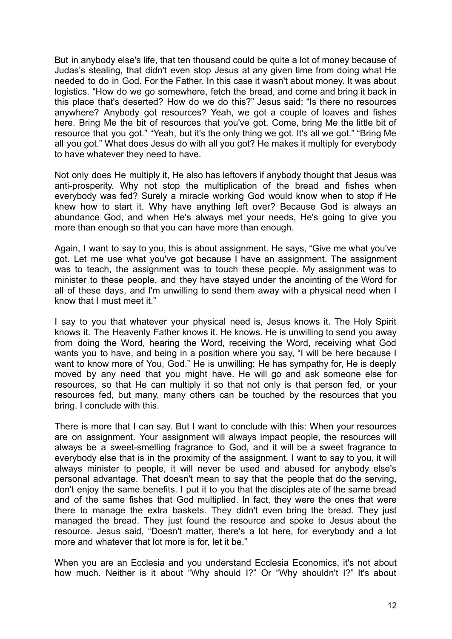But in anybody else's life, that ten thousand could be quite a lot of money because of Judas's stealing, that didn't even stop Jesus at any given time from doing what He needed to do in God. For the Father. In this case it wasn't about money. It was about logistics. "How do we go somewhere, fetch the bread, and come and bring it back in this place that's deserted? How do we do this?" Jesus said: "Is there no resources anywhere? Anybody got resources? Yeah, we got a couple of loaves and fishes here. Bring Me the bit of resources that you've got. Come, bring Me the little bit of resource that you got." "Yeah, but it's the only thing we got. It's all we got." "Bring Me all you got." What does Jesus do with all you got? He makes it multiply for everybody to have whatever they need to have.

Not only does He multiply it, He also has leftovers if anybody thought that Jesus was anti-prosperity. Why not stop the multiplication of the bread and fishes when everybody was fed? Surely a miracle working God would know when to stop if He knew how to start it. Why have anything left over? Because God is always an abundance God, and when He's always met your needs, He's going to give you more than enough so that you can have more than enough.

Again, I want to say to you, this is about assignment. He says, "Give me what you've got. Let me use what you've got because I have an assignment. The assignment was to teach, the assignment was to touch these people. My assignment was to minister to these people, and they have stayed under the anointing of the Word for all of these days, and I'm unwilling to send them away with a physical need when I know that I must meet it."

I say to you that whatever your physical need is, Jesus knows it. The Holy Spirit knows it. The Heavenly Father knows it. He knows. He is unwilling to send you away from doing the Word, hearing the Word, receiving the Word, receiving what God wants you to have, and being in a position where you say, "I will be here because I want to know more of You, God." He is unwilling; He has sympathy for, He is deeply moved by any need that you might have. He will go and ask someone else for resources, so that He can multiply it so that not only is that person fed, or your resources fed, but many, many others can be touched by the resources that you bring. I conclude with this.

There is more that I can say. But I want to conclude with this: When your resources are on assignment. Your assignment will always impact people, the resources will always be a sweet-smelling fragrance to God, and it will be a sweet fragrance to everybody else that is in the proximity of the assignment. I want to say to you, it will always minister to people, it will never be used and abused for anybody else's personal advantage. That doesn't mean to say that the people that do the serving, don't enjoy the same benefits. I put it to you that the disciples ate of the same bread and of the same fishes that God multiplied. In fact, they were the ones that were there to manage the extra baskets. They didn't even bring the bread. They just managed the bread. They just found the resource and spoke to Jesus about the resource. Jesus said, "Doesn't matter, there's a lot here, for everybody and a lot more and whatever that lot more is for, let it be."

When you are an Ecclesia and you understand Ecclesia Economics, it's not about how much. Neither is it about "Why should I?" Or "Why shouldn't I?" It's about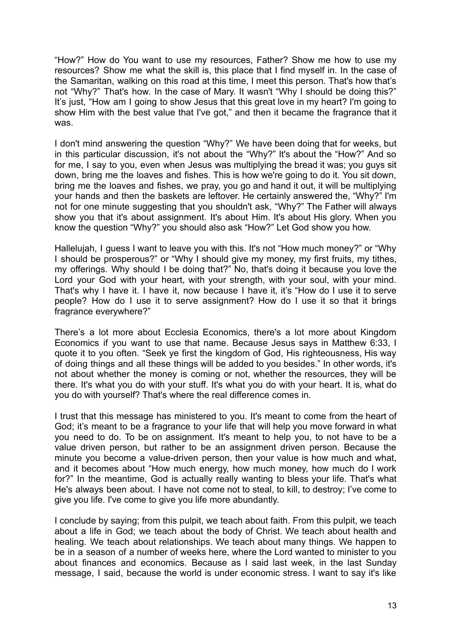"How?" How do You want to use my resources, Father? Show me how to use my resources? Show me what the skill is, this place that I find myself in. In the case of the Samaritan, walking on this road at this time, I meet this person. That's how that's not "Why?" That's how. In the case of Mary. It wasn't "Why I should be doing this?" It's just, "How am I going to show Jesus that this great love in my heart? I'm going to show Him with the best value that I've got," and then it became the fragrance that it was.

I don't mind answering the question "Why?" We have been doing that for weeks, but in this particular discussion, it's not about the "Why?" It's about the "How?" And so for me, I say to you, even when Jesus was multiplying the bread it was; you guys sit down, bring me the loaves and fishes. This is how we're going to do it. You sit down, bring me the loaves and fishes, we pray, you go and hand it out, it will be multiplying your hands and then the baskets are leftover. He certainly answered the, "Why?" I'm not for one minute suggesting that you shouldn't ask, "Why?" The Father will always show you that it's about assignment. It's about Him. It's about His glory. When you know the question "Why?" you should also ask "How?" Let God show you how.

Hallelujah, I guess I want to leave you with this. It's not "How much money?" or "Why I should be prosperous?" or "Why I should give my money, my first fruits, my tithes, my offerings. Why should I be doing that?" No, that's doing it because you love the Lord your God with your heart, with your strength, with your soul, with your mind. That's why I have it. I have it, now because I have it, it's "How do I use it to serve people? How do I use it to serve assignment? How do I use it so that it brings fragrance everywhere?"

There's a lot more about Ecclesia Economics, there's a lot more about Kingdom Economics if you want to use that name. Because Jesus says in Matthew 6:33, I quote it to you often. "Seek ye first the kingdom of God, His righteousness, His way of doing things and all these things will be added to you besides." In other words, it's not about whether the money is coming or not, whether the resources, they will be there. It's what you do with your stuff. It's what you do with your heart. It is, what do you do with yourself? That's where the real difference comes in.

I trust that this message has ministered to you. It's meant to come from the heart of God; it's meant to be a fragrance to your life that will help you move forward in what you need to do. To be on assignment. It's meant to help you, to not have to be a value driven person, but rather to be an assignment driven person. Because the minute you become a value-driven person, then your value is how much and what, and it becomes about "How much energy, how much money, how much do I work for?" In the meantime, God is actually really wanting to bless your life. That's what He's always been about. I have not come not to steal, to kill, to destroy; I've come to give you life. I've come to give you life more abundantly.

I conclude by saying; from this pulpit, we teach about faith. From this pulpit, we teach about a life in God; we teach about the body of Christ. We teach about health and healing. We teach about relationships. We teach about many things. We happen to be in a season of a number of weeks here, where the Lord wanted to minister to you about finances and economics. Because as I said last week, in the last Sunday message, I said, because the world is under economic stress. I want to say it's like